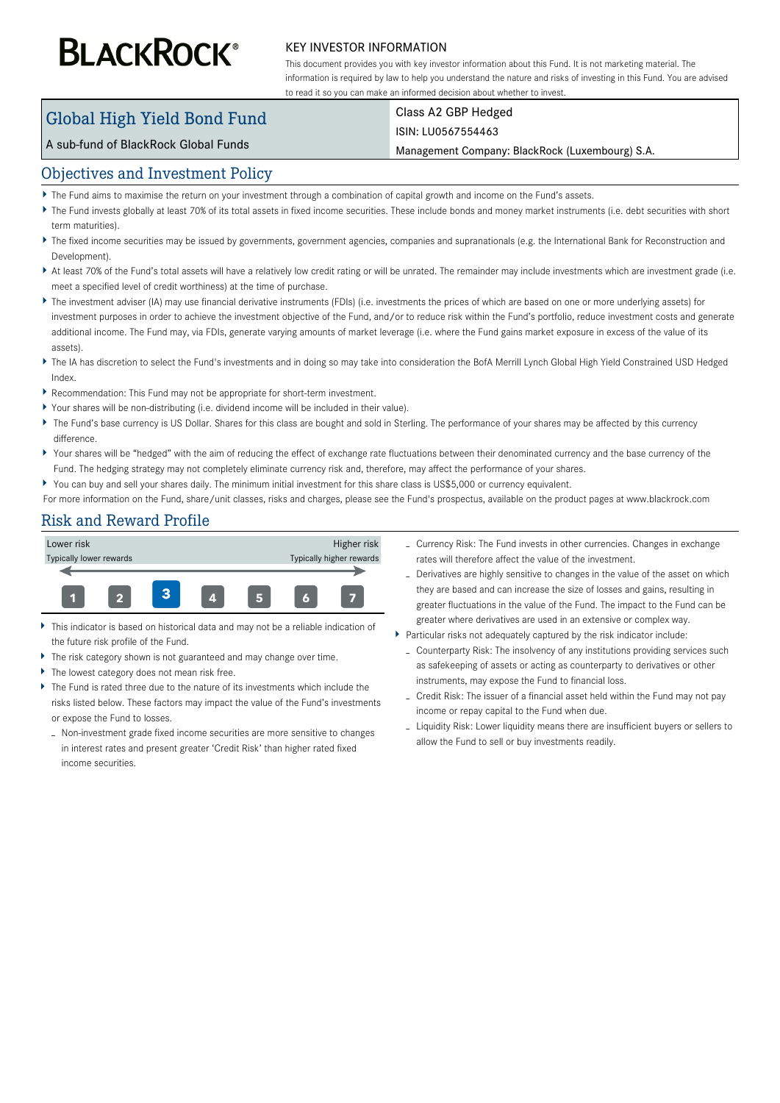# **BLACKROCK®**

#### KEY INVESTOR INFORMATION

This document provides you with key investor information about this Fund. It is not marketing material. The information is required by law to help you understand the nature and risks of investing in this Fund. You are advised to read it so you can make an informed decision about whether to invest.

## Global High Yield Bond Fund

## Class A2 GBP Hedged

#### ISIN: LU0567554463

A sub-fund of BlackRock Global Funds

Management Company: BlackRock (Luxembourg) S.A.

#### Objectives and Investment Policy

- The Fund aims to maximise the return on your investment through a combination of capital growth and income on the Fund's assets.
- ▶ The Fund invests globally at least 70% of its total assets in fixed income securities. These include bonds and money market instruments (i.e. debt securities with short term maturities).
- ▶ The fixed income securities may be issued by governments, government agencies, companies and supranationals (e.g. the International Bank for Reconstruction and Development).
- At least 70% of the Fund's total assets will have a relatively low credit rating or will be unrated. The remainder may include investments which are investment grade (i.e. meet a specified level of credit worthiness) at the time of purchase.
- ▶ The investment adviser (IA) may use financial derivative instruments (FDIs) (i.e. investments the prices of which are based on one or more underlying assets) for investment purposes in order to achieve the investment objective of the Fund, and/or to reduce risk within the Fund's portfolio, reduce investment costs and generate additional income. The Fund may, via FDIs, generate varying amounts of market leverage (i.e. where the Fund gains market exposure in excess of the value of its assets).
- ▶ The IA has discretion to select the Fund's investments and in doing so may take into consideration the BofA Merrill Lynch Global High Yield Constrained USD Hedged Index.
- Recommendation: This Fund may not be appropriate for short-term investment.
- Your shares will be non-distributing (i.e. dividend income will be included in their value).
- The Fund's base currency is US Dollar. Shares for this class are bought and sold in Sterling. The performance of your shares may be affected by this currency difference.
- Your shares will be "hedged" with the aim of reducing the effect of exchange rate fluctuations between their denominated currency and the base currency of the Fund. The hedging strategy may not completely eliminate currency risk and, therefore, may affect the performance of your shares.
- You can buy and sell your shares daily. The minimum initial investment for this share class is US\$5,000 or currency equivalent.
- For more information on the Fund, share/unit classes, risks and charges, please see the Fund's prospectus, available on the product pages at www.blackrock.com

### Risk and Reward Profile



- $\bar{\mathbf{r}}$ This indicator is based on historical data and may not be a reliable indication of the future risk profile of the Fund.
- The risk category shown is not guaranteed and may change over time.
- ь The lowest category does not mean risk free.
- The Fund is rated three due to the nature of its investments which include the risks listed below. These factors may impact the value of the Fund's investments or expose the Fund to losses.
	- Non-investment grade fixed income securities are more sensitive to changes in interest rates and present greater 'Credit Risk' than higher rated fixed income securities.
- Currency Risk: The Fund invests in other currencies. Changes in exchange rates will therefore affect the value of the investment.
- Derivatives are highly sensitive to changes in the value of the asset on which they are based and can increase the size of losses and gains, resulting in greater fluctuations in the value of the Fund. The impact to the Fund can be greater where derivatives are used in an extensive or complex way.
- Particular risks not adequately captured by the risk indicator include:
	- Counterparty Risk: The insolvency of any institutions providing services such as safekeeping of assets or acting as counterparty to derivatives or other instruments, may expose the Fund to financial loss.
	- Credit Risk: The issuer of a financial asset held within the Fund may not pay income or repay capital to the Fund when due.
	- Liquidity Risk: Lower liquidity means there are insufficient buyers or sellers to allow the Fund to sell or buy investments readily.